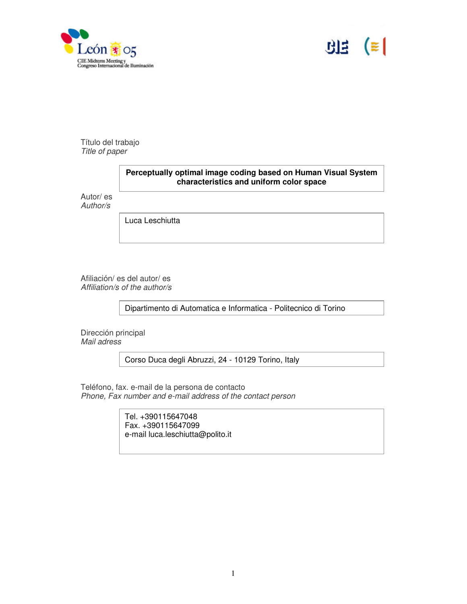



Título del trabajo *Title of paper*

# **Perceptually optimal image coding based on Human Visual System characteristics and uniform color space**

Autor/ es *Author/s*

Luca Leschiutta

Afiliación/ es del autor/ es *Affiliation/s of the author/s*

Dipartimento di Automatica e Informatica - Politecnico di Torino

Dirección principal *Mail adress*

Corso Duca degli Abruzzi, 24 - 10129 Torino, Italy

Teléfono, fax. e-mail de la persona de contacto *Phone, Fax number and e-mail address of the contact person*

> Tel. +390115647048 Fax. +390115647099 e-mail luca.leschiutta@polito.it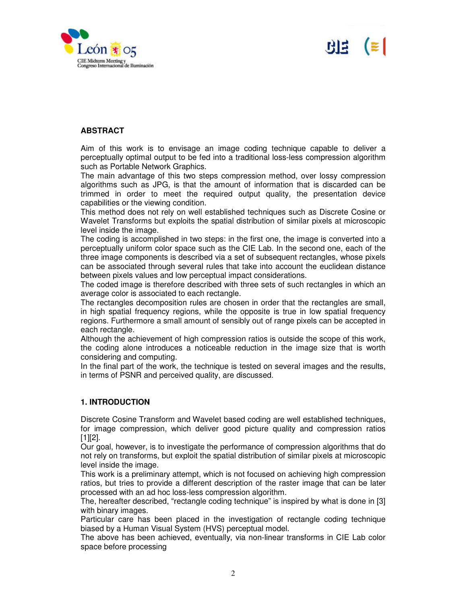



#### **ABSTRACT**

Aim of this work is to envisage an image coding technique capable to deliver a perceptually optimal output to be fed into a traditional loss-less compression algorithm such as Portable Network Graphics.

The main advantage of this two steps compression method, over lossy compression algorithms such as JPG, is that the amount of information that is discarded can be trimmed in order to meet the required output quality, the presentation device capabilities or the viewing condition.

This method does not rely on well established techniques such as Discrete Cosine or Wavelet Transforms but exploits the spatial distribution of similar pixels at microscopic level inside the image.

The coding is accomplished in two steps: in the first one, the image is converted into a perceptually uniform color space such as the CIE Lab. In the second one, each of the three image components is described via a set of subsequent rectangles, whose pixels can be associated through several rules that take into account the euclidean distance between pixels values and low perceptual impact considerations.

The coded image is therefore described with three sets of such rectangles in which an average color is associated to each rectangle.

The rectangles decomposition rules are chosen in order that the rectangles are small, in high spatial frequency regions, while the opposite is true in low spatial frequency regions. Furthermore a small amount of sensibly out of range pixels can be accepted in each rectangle.

Although the achievement of high compression ratios is outside the scope of this work, the coding alone introduces a noticeable reduction in the image size that is worth considering and computing.

In the final part of the work, the technique is tested on several images and the results, in terms of PSNR and perceived quality, are discussed.

### **1. INTRODUCTION**

Discrete Cosine Transform and Wavelet based coding are well established techniques, for image compression, which deliver good picture quality and compression ratios [1][2].

Our goal, however, is to investigate the performance of compression algorithms that do not rely on transforms, but exploit the spatial distribution of similar pixels at microscopic level inside the image.

This work is a preliminary attempt, which is not focused on achieving high compression ratios, but tries to provide a different description of the raster image that can be later processed with an ad hoc loss-less compression algorithm.

The, hereafter described, "rectangle coding technique" is inspired by what is done in [3] with binary images.

Particular care has been placed in the investigation of rectangle coding technique biased by a Human Visual System (HVS) perceptual model.

The above has been achieved, eventually, via non-linear transforms in CIE Lab color space before processing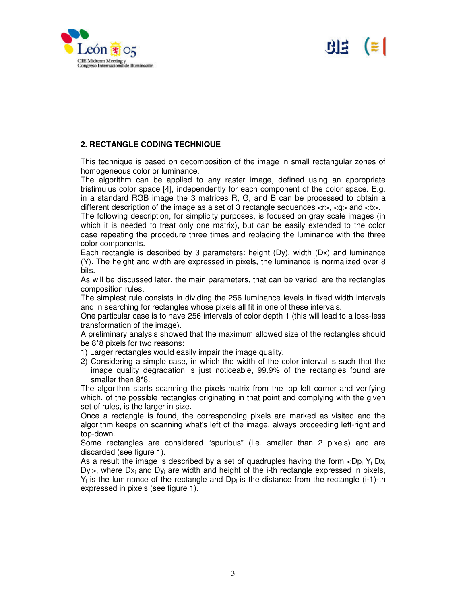

# $B \neq \mathbb{R}$

## **2. RECTANGLE CODING TECHNIQUE**

This technique is based on decomposition of the image in small rectangular zones of homogeneous color or luminance.

The algorithm can be applied to any raster image, defined using an appropriate tristimulus color space [4], independently for each component of the color space. E.g. in a standard RGB image the 3 matrices R, G, and B can be processed to obtain a different description of the image as a set of 3 rectangle sequences  $\langle r \rangle$ ,  $\langle q \rangle$  and  $\langle b \rangle$ .

The following description, for simplicity purposes, is focused on gray scale images (in which it is needed to treat only one matrix), but can be easily extended to the color case repeating the procedure three times and replacing the luminance with the three color components.

Each rectangle is described by 3 parameters: height (Dy), width (Dx) and luminance (Y). The height and width are expressed in pixels, the luminance is normalized over 8 bits.

As will be discussed later, the main parameters, that can be varied, are the rectangles composition rules.

The simplest rule consists in dividing the 256 luminance levels in fixed width intervals and in searching for rectangles whose pixels all fit in one of these intervals.

One particular case is to have 256 intervals of color depth 1 (this will lead to a loss-less transformation of the image).

A preliminary analysis showed that the maximum allowed size of the rectangles should be 8\*8 pixels for two reasons:

- 1) Larger rectangles would easily impair the image quality.
- 2) Considering a simple case, in which the width of the color interval is such that the image quality degradation is just noticeable, 99.9% of the rectangles found are smaller then 8\*8.

The algorithm starts scanning the pixels matrix from the top left corner and verifying which, of the possible rectangles originating in that point and complying with the given set of rules, is the larger in size.

Once a rectangle is found, the corresponding pixels are marked as visited and the algorithm keeps on scanning what's left of the image, always proceeding left-right and top-down.

Some rectangles are considered "spurious" (i.e. smaller than 2 pixels) and are discarded (see figure 1).

As a result the image is described by a set of quadruples having the form  $\langle \text{Dp}_i Y_i \text{Dx}_i \rangle$  $Dy_i$ , where  $Dx_i$  and  $Dy_i$  are width and height of the i-th rectangle expressed in pixels,  $Y_i$  is the luminance of the rectangle and Dp<sub>i</sub> is the distance from the rectangle (i-1)-th expressed in pixels (see figure 1).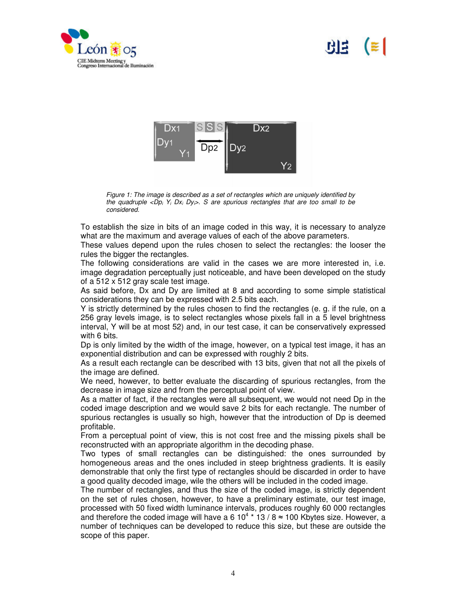

# ا ≊ا RIS.



*Figure 1: The image is described as a set of rectangles which are uniquely identified by* the quadruple  $\langle Dp_i Y_i Dx_i Dy \rangle$ . S are spurious rectangles that are too small to be *considered.*

To establish the size in bits of an image coded in this way, it is necessary to analyze what are the maximum and average values of each of the above parameters.

These values depend upon the rules chosen to select the rectangles: the looser the rules the bigger the rectangles.

The following considerations are valid in the cases we are more interested in, i.e. image degradation perceptually just noticeable, and have been developed on the study of a 512 x 512 gray scale test image.

As said before, Dx and Dy are limited at 8 and according to some simple statistical considerations they can be expressed with 2.5 bits each.

Y is strictly determined by the rules chosen to find the rectangles (e. g. if the rule, on a 256 gray levels image, is to select rectangles whose pixels fall in a 5 level brightness interval, Y will be at most 52) and, in our test case, it can be conservatively expressed with 6 bits.

Dp is only limited by the width of the image, however, on a typical test image, it has an exponential distribution and can be expressed with roughly 2 bits.

As a result each rectangle can be described with 13 bits, given that not all the pixels of the image are defined.

We need, however, to better evaluate the discarding of spurious rectangles, from the decrease in image size and from the perceptual point of view.

As a matter of fact, if the rectangles were all subsequent, we would not need Dp in the coded image description and we would save 2 bits for each rectangle. The number of spurious rectangles is usually so high, however that the introduction of Dp is deemed profitable.

From a perceptual point of view, this is not cost free and the missing pixels shall be reconstructed with an appropriate algorithm in the decoding phase.

Two types of small rectangles can be distinguished: the ones surrounded by homogeneous areas and the ones included in steep brightness gradients. It is easily demonstrable that only the first type of rectangles should be discarded in order to have a good quality decoded image, wile the others will be included in the coded image.

The number of rectangles, and thus the size of the coded image, is strictly dependent on the set of rules chosen, however, to have a preliminary estimate, our test image, processed with 50 fixed width luminance intervals, produces roughly 60 000 rectangles and therefore the coded image will have a 6 10<sup>4</sup>  $*$  13 / 8  $\approx$  100 Kbytes size. However, a number of techniques can be developed to reduce this size, but these are outside the scope of this paper.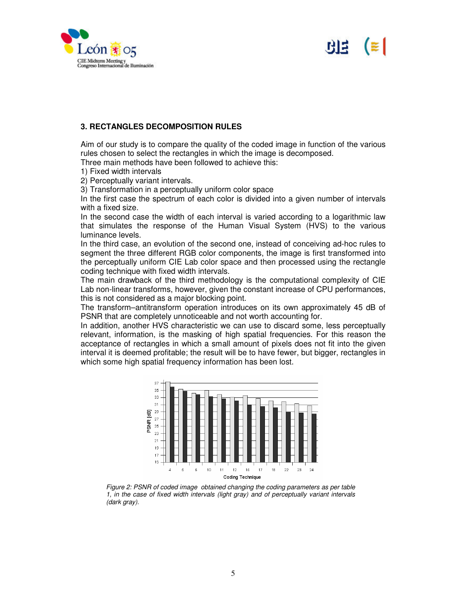



#### **3. RECTANGLES DECOMPOSITION RULES**

Aim of our study is to compare the quality of the coded image in function of the various rules chosen to select the rectangles in which the image is decomposed.

Three main methods have been followed to achieve this:

1) Fixed width intervals

2) Perceptually variant intervals.

3) Transformation in a perceptually uniform color space

In the first case the spectrum of each color is divided into a given number of intervals with a fixed size.

In the second case the width of each interval is varied according to a logarithmic law that simulates the response of the Human Visual System (HVS) to the various luminance levels.

In the third case, an evolution of the second one, instead of conceiving ad-hoc rules to segment the three different RGB color components, the image is first transformed into the perceptually uniform CIE Lab color space and then processed using the rectangle coding technique with fixed width intervals.

The main drawback of the third methodology is the computational complexity of CIE Lab non-linear transforms, however, given the constant increase of CPU performances, this is not considered as a major blocking point.

The transform–antitransform operation introduces on its own approximately 45 dB of PSNR that are completely unnoticeable and not worth accounting for.

In addition, another HVS characteristic we can use to discard some, less perceptually relevant, information, is the masking of high spatial frequencies. For this reason the acceptance of rectangles in which a small amount of pixels does not fit into the given interval it is deemed profitable; the result will be to have fewer, but bigger, rectangles in which some high spatial frequency information has been lost.



*Figure 2: PSNR of coded image obtained changing the coding parameters as per table 1, in the case of fixed width intervals (light gray) and of perceptually variant intervals (dark gray).*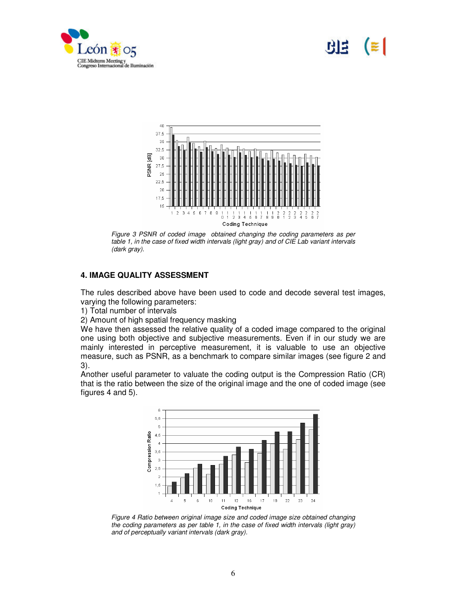

# NE



*Figure 3 PSNR of coded image obtained changing the coding parameters as per table 1, in the case of fixed width intervals (light gray) and of CIE Lab variant intervals (dark gray).*

# **4. IMAGE QUALITY ASSESSMENT**

The rules described above have been used to code and decode several test images, varying the following parameters:

1) Total number of intervals

2) Amount of high spatial frequency masking

We have then assessed the relative quality of a coded image compared to the original one using both objective and subjective measurements. Even if in our study we are mainly interested in perceptive measurement, it is valuable to use an objective measure, such as PSNR, as a benchmark to compare similar images (see figure 2 and 3).

Another useful parameter to valuate the coding output is the Compression Ratio (CR) that is the ratio between the size of the original image and the one of coded image (see figures 4 and 5).



*Figure 4 Ratio between original image size and coded image size obtained changing the coding parameters as per table 1, in the case of fixed width intervals (light gray) and of perceptually variant intervals (dark gray).*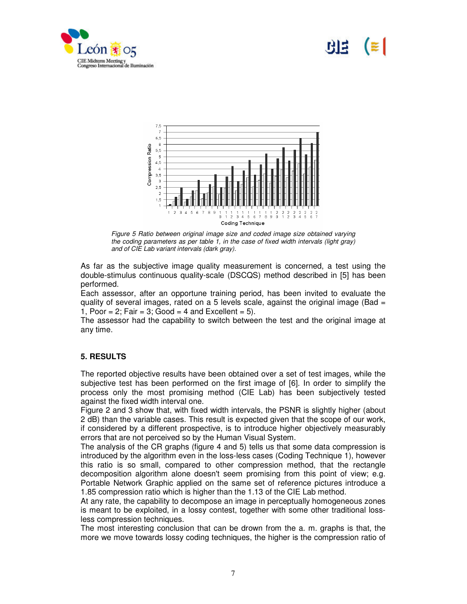

# 66



*Figure 5 Ratio between original image size and coded image size obtained varying the coding parameters as per table 1, in the case of fixed width intervals (light gray) and of CIE Lab variant intervals (dark gray).*

As far as the subjective image quality measurement is concerned, a test using the double-stimulus continuous quality-scale (DSCQS) method described in [5] has been performed.

Each assessor, after an opportune training period, has been invited to evaluate the quality of several images, rated on a 5 levels scale, against the original image (Bad  $=$ 1, Poor = 2; Fair = 3; Good = 4 and Excellent = 5).

The assessor had the capability to switch between the test and the original image at any time.

### **5. RESULTS**

The reported objective results have been obtained over a set of test images, while the subjective test has been performed on the first image of [6]. In order to simplify the process only the most promising method (CIE Lab) has been subjectively tested against the fixed width interval one.

Figure 2 and 3 show that, with fixed width intervals, the PSNR is slightly higher (about 2 dB) than the variable cases. This result is expected given that the scope of our work, if considered by a different prospective, is to introduce higher objectively measurably errors that are not perceived so by the Human Visual System.

The analysis of the CR graphs (figure 4 and 5) tells us that some data compression is introduced by the algorithm even in the loss-less cases (Coding Technique 1), however this ratio is so small, compared to other compression method, that the rectangle decomposition algorithm alone doesn't seem promising from this point of view; e.g. Portable Network Graphic applied on the same set of reference pictures introduce a 1.85 compression ratio which is higher than the 1.13 of the CIE Lab method.

At any rate, the capability to decompose an image in perceptually homogeneous zones is meant to be exploited, in a lossy contest, together with some other traditional lossless compression techniques.

The most interesting conclusion that can be drown from the a. m. graphs is that, the more we move towards lossy coding techniques, the higher is the compression ratio of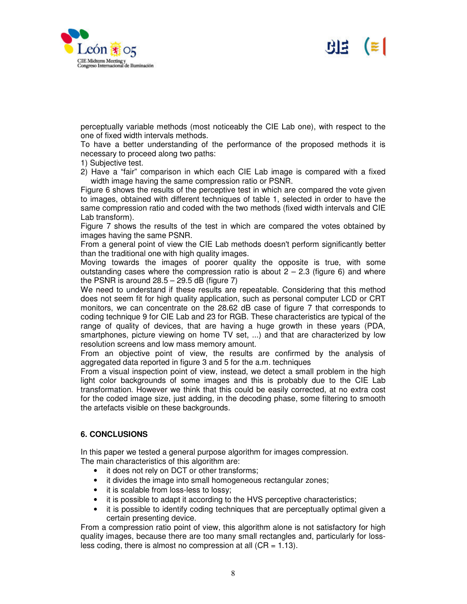



perceptually variable methods (most noticeably the CIE Lab one), with respect to the one of fixed width intervals methods.

To have a better understanding of the performance of the proposed methods it is necessary to proceed along two paths:

- 1) Subjective test.
- 2) Have a "fair" comparison in which each CIE Lab image is compared with a fixed width image having the same compression ratio or PSNR.

Figure 6 shows the results of the perceptive test in which are compared the vote given to images, obtained with different techniques of table 1, selected in order to have the same compression ratio and coded with the two methods (fixed width intervals and CIE Lab transform).

Figure 7 shows the results of the test in which are compared the votes obtained by images having the same PSNR.

From a general point of view the CIE Lab methods doesn't perform significantly better than the traditional one with high quality images.

Moving towards the images of poorer quality the opposite is true, with some outstanding cases where the compression ratio is about  $2 - 2.3$  (figure 6) and where the PSNR is around  $28.5 - 29.5$  dB (figure 7)

We need to understand if these results are repeatable. Considering that this method does not seem fit for high quality application, such as personal computer LCD or CRT monitors, we can concentrate on the 28.62 dB case of figure 7 that corresponds to coding technique 9 for CIE Lab and 23 for RGB. These characteristics are typical of the range of quality of devices, that are having a huge growth in these years (PDA, smartphones, picture viewing on home TV set, ...) and that are characterized by low resolution screens and low mass memory amount.

From an objective point of view, the results are confirmed by the analysis of aggregated data reported in figure 3 and 5 for the a.m. techniques

From a visual inspection point of view, instead, we detect a small problem in the high light color backgrounds of some images and this is probably due to the CIE Lab transformation. However we think that this could be easily corrected, at no extra cost for the coded image size, just adding, in the decoding phase, some filtering to smooth the artefacts visible on these backgrounds.

### **6. CONCLUSIONS**

In this paper we tested a general purpose algorithm for images compression. The main characteristics of this algorithm are:

- it does not rely on DCT or other transforms;
- it divides the image into small homogeneous rectangular zones;
- it is scalable from loss-less to lossy;
- it is possible to adapt it according to the HVS perceptive characteristics;
- it is possible to identify coding techniques that are perceptually optimal given a certain presenting device.

From a compression ratio point of view, this algorithm alone is not satisfactory for high quality images, because there are too many small rectangles and, particularly for lossless coding, there is almost no compression at all  $(CR = 1.13)$ .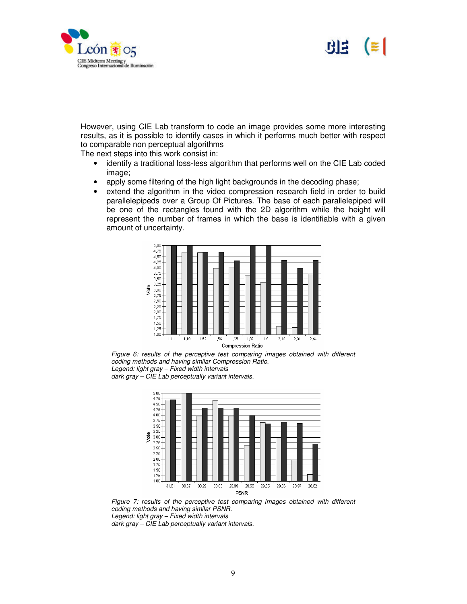



However, using CIE Lab transform to code an image provides some more interesting results, as it is possible to identify cases in which it performs much better with respect to comparable non perceptual algorithms

The next steps into this work consist in:

- identify a traditional loss-less algorithm that performs well on the CIE Lab coded image;
- apply some filtering of the high light backgrounds in the decoding phase;
- extend the algorithm in the video compression research field in order to build parallelepipeds over a Group Of Pictures. The base of each parallelepiped will be one of the rectangles found with the 2D algorithm while the height will represent the number of frames in which the base is identifiable with a given amount of uncertainty.







*Figure 7: results of the perceptive test comparing images obtained with different coding methods and having similar PSNR. Legend: light gray – Fixed width intervals dark gray – CIE Lab perceptually variant intervals.*